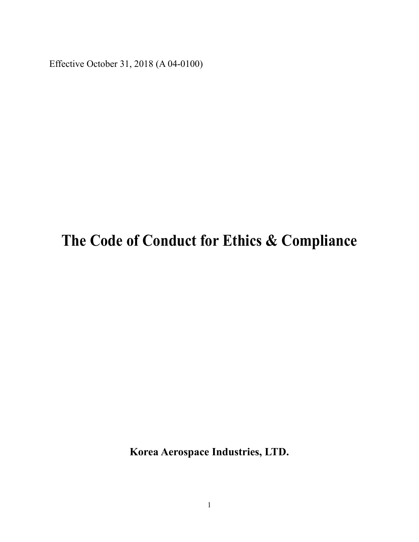Effective October 31, 2018 (A 04-0100)

# **The Code of Conduct for Ethics & Compliance**

**Korea Aerospace Industries, LTD.**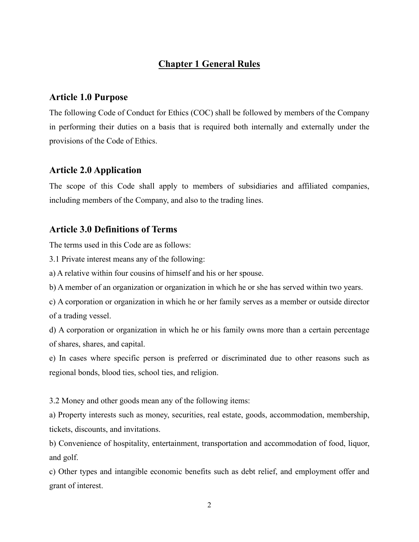## **Chapter 1 General Rules**

#### **Article 1.0 Purpose**

The following Code of Conduct for Ethics (COC) shall be followed by members of the Company in performing their duties on a basis that is required both internally and externally under the provisions of the Code of Ethics.

#### **Article 2.0 Application**

The scope of this Code shall apply to members of subsidiaries and affiliated companies, including members of the Company, and also to the trading lines.

#### **Article 3.0 Definitions of Terms**

The terms used in this Code are as follows:

3.1 Private interest means any of the following:

a) A relative within four cousins of himself and his or her spouse.

b) A member of an organization or organization in which he or she has served within two years.

c) A corporation or organization in which he or her family serves as a member or outside director of a trading vessel.

d) A corporation or organization in which he or his family owns more than a certain percentage of shares, shares, and capital.

e) In cases where specific person is preferred or discriminated due to other reasons such as regional bonds, blood ties, school ties, and religion.

3.2 Money and other goods mean any of the following items:

a) Property interests such as money, securities, real estate, goods, accommodation, membership, tickets, discounts, and invitations.

b) Convenience of hospitality, entertainment, transportation and accommodation of food, liquor, and golf.

c) Other types and intangible economic benefits such as debt relief, and employment offer and grant of interest.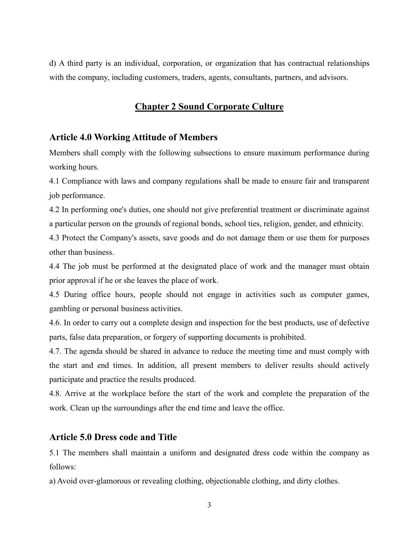d) A third party is an individual, corporation, or organization that has contractual relationships with the company, including customers, traders, agents, consultants, partners, and advisors.

## **Chapter 2 Sound Corporate Culture**

#### **Article 4.0 Working Attitude of Members**

Members shall comply with the following subsections to ensure maximum performance during working hours.

4.1 Compliance with laws and company regulations shall be made to ensure fair and transparent job performance.

4.2 In performing one's duties, one should not give preferential treatment or discriminate against a particular person on the grounds of regional bonds, school ties, religion, gender, and ethnicity.

4.3 Protect the Company's assets, save goods and do not damage them or use them for purposes other than business.

4.4 The job must be performed at the designated place of work and the manager must obtain prior approval if he or she leaves the place of work.

4.5 During office hours, people should not engage in activities such as computer games, gambling or personal business activities.

4.6. In order to carry out a complete design and inspection for the best products, use of defective parts, false data preparation, or forgery of supporting documents is prohibited.

4.7. The agenda should be shared in advance to reduce the meeting time and must comply with the start and end times. In addition, all present members to deliver results should actively participate and practice the results produced.

4.8. Arrive at the workplace before the start of the work and complete the preparation of the work. Clean up the surroundings after the end time and leave the office.

#### **Article 5.0 Dress code and Title**

5.1 The members shall maintain a uniform and designated dress code within the company as follows:

a) Avoid over-glamorous or revealing clothing, objectionable clothing, and dirty clothes.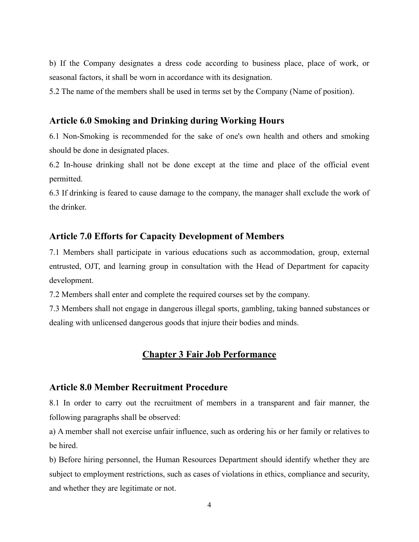b) If the Company designates a dress code according to business place, place of work, or seasonal factors, it shall be worn in accordance with its designation.

5.2 The name of the members shall be used in terms set by the Company (Name of position).

#### **Article 6.0 Smoking and Drinking during Working Hours**

6.1 Non-Smoking is recommended for the sake of one's own health and others and smoking should be done in designated places.

6.2 In-house drinking shall not be done except at the time and place of the official event permitted.

6.3 If drinking is feared to cause damage to the company, the manager shall exclude the work of the drinker.

#### **Article 7.0 Efforts for Capacity Development of Members**

7.1 Members shall participate in various educations such as accommodation, group, external entrusted, OJT, and learning group in consultation with the Head of Department for capacity development.

7.2 Members shall enter and complete the required courses set by the company.

7.3 Members shall not engage in dangerous illegal sports, gambling, taking banned substances or dealing with unlicensed dangerous goods that injure their bodies and minds.

#### **Chapter 3 Fair Job Performance**

#### **Article 8.0 Member Recruitment Procedure**

8.1 In order to carry out the recruitment of members in a transparent and fair manner, the following paragraphs shall be observed:

a) A member shall not exercise unfair influence, such as ordering his or her family or relatives to be hired.

b) Before hiring personnel, the Human Resources Department should identify whether they are subject to employment restrictions, such as cases of violations in ethics, compliance and security, and whether they are legitimate or not.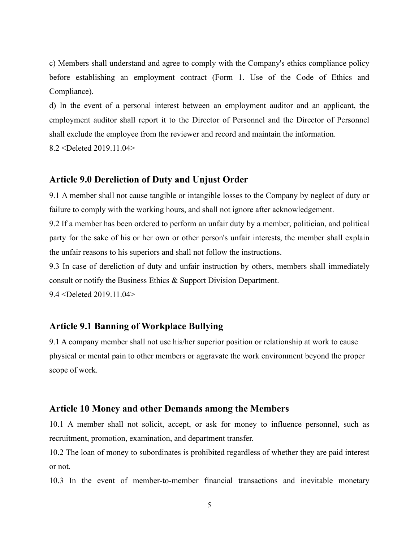c) Members shall understand and agree to comply with the Company's ethics compliance policy before establishing an employment contract (Form 1. Use of the Code of Ethics and Compliance).

d) In the event of a personal interest between an employment auditor and an applicant, the employment auditor shall report it to the Director of Personnel and the Director of Personnel shall exclude the employee from the reviewer and record and maintain the information.

8.2 <Deleted 2019.11.04>

#### **Article 9.0 Dereliction of Duty and Unjust Order**

9.1 A member shall not cause tangible or intangible losses to the Company by neglect of duty or failure to comply with the working hours, and shall not ignore after acknowledgement.

9.2 If a member has been ordered to perform an unfair duty by a member, politician, and political party for the sake of his or her own or other person's unfair interests, the member shall explain the unfair reasons to his superiors and shall not follow the instructions.

9.3 In case of dereliction of duty and unfair instruction by others, members shall immediately consult or notify the Business Ethics & Support Division Department. 9.4 <Deleted 2019.11.04>

## **Article 9.1 Banning of Workplace Bullying**

9.1 A company member shall not use his/her superior position or relationship at work to cause physical or mental pain to other members or aggravate the work environment beyond the proper scope of work.

#### **Article 10 Money and other Demands among the Members**

10.1 A member shall not solicit, accept, or ask for money to influence personnel, such as recruitment, promotion, examination, and department transfer.

10.2 The loan of money to subordinates is prohibited regardless of whether they are paid interest or not.

10.3 In the event of member-to-member financial transactions and inevitable monetary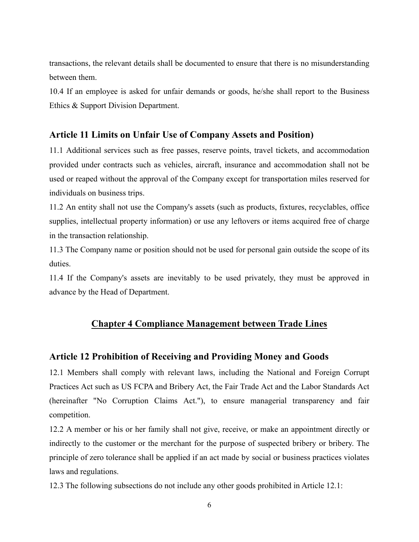transactions, the relevant details shall be documented to ensure that there is no misunderstanding between them.

10.4 If an employee is asked for unfair demands or goods, he/she shall report to the Business Ethics & Support Division Department.

### **Article 11 Limits on Unfair Use of Company Assets and Position)**

11.1 Additional services such as free passes, reserve points, travel tickets, and accommodation provided under contracts such as vehicles, aircraft, insurance and accommodation shall not be used or reaped without the approval of the Company except for transportation miles reserved for individuals on business trips.

11.2 An entity shall not use the Company's assets (such as products, fixtures, recyclables, office supplies, intellectual property information) or use any leftovers or items acquired free of charge in the transaction relationship.

11.3 The Company name or position should not be used for personal gain outside the scope of its duties.

11.4 If the Company's assets are inevitably to be used privately, they must be approved in advance by the Head of Department.

#### **Chapter 4 Compliance Management between Trade Lines**

#### **Article 12 Prohibition of Receiving and Providing Money and Goods**

12.1 Members shall comply with relevant laws, including the National and Foreign Corrupt Practices Act such as US FCPA and Bribery Act, the Fair Trade Act and the Labor Standards Act (hereinafter "No Corruption Claims Act."), to ensure managerial transparency and fair competition.

12.2 A member or his or her family shall not give, receive, or make an appointment directly or indirectly to the customer or the merchant for the purpose of suspected bribery or bribery. The principle of zero tolerance shall be applied if an act made by social or business practices violates laws and regulations.

12.3 The following subsections do not include any other goods prohibited in Article 12.1: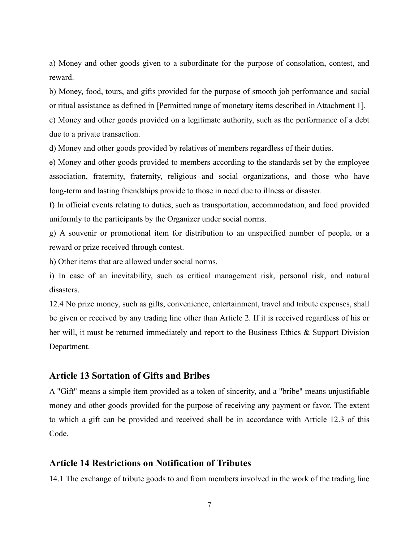a) Money and other goods given to a subordinate for the purpose of consolation, contest, and reward.

b) Money, food, tours, and gifts provided for the purpose of smooth job performance and social or ritual assistance as defined in [Permitted range of monetary items described in Attachment 1].

c) Money and other goods provided on a legitimate authority, such as the performance of a debt due to a private transaction.

d) Money and other goods provided by relatives of members regardless of their duties.

e) Money and other goods provided to members according to the standards set by the employee association, fraternity, fraternity, religious and social organizations, and those who have long-term and lasting friendships provide to those in need due to illness or disaster.

f) In official events relating to duties, such as transportation, accommodation, and food provided uniformly to the participants by the Organizer under social norms.

g) A souvenir or promotional item for distribution to an unspecified number of people, or a reward or prize received through contest.

h) Other items that are allowed under social norms.

i) In case of an inevitability, such as critical management risk, personal risk, and natural disasters.

12.4 No prize money, such as gifts, convenience, entertainment, travel and tribute expenses, shall be given or received by any trading line other than Article 2. If it is received regardless of his or her will, it must be returned immediately and report to the Business Ethics & Support Division Department.

#### **Article 13 Sortation of Gifts and Bribes**

A "Gift" means a simple item provided as a token of sincerity, and a "bribe" means unjustifiable money and other goods provided for the purpose of receiving any payment or favor. The extent to which a gift can be provided and received shall be in accordance with Article 12.3 of this Code.

#### **Article 14 Restrictions on Notification of Tributes**

14.1 The exchange of tribute goods to and from members involved in the work of the trading line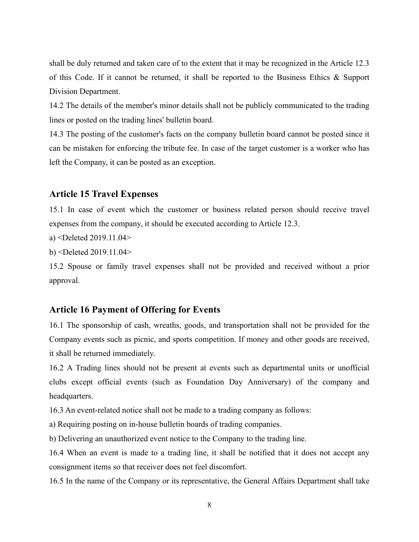shall be duly returned and taken care of to the extent that it may be recognized in the Article 12.3 of this Code. If it cannot be returned, it shall be reported to the Business Ethics & Support Division Department.

14.2 The details of the member's minor details shall not be publicly communicated to the trading lines or posted on the trading lines' bulletin board.

14.3 The posting of the customer's facts on the company bulletin board cannot be posted since it can be mistaken for enforcing the tribute fee. In case of the target customer is a worker who has left the Company, it can be posted as an exception.

#### **Article 15 Travel Expenses**

15.1 In case of event which the customer or business related person should receive travel expenses from the company, it should be executed according to Article 12.3.

a) <Deleted 2019.11.04>

b) <Deleted 2019.11.04>

15.2 Spouse or family travel expenses shall not be provided and received without a prior approval.

#### **Article 16 Payment of Offering for Events**

16.1 The sponsorship of cash, wreaths, goods, and transportation shall not be provided for the Company events such as picnic, and sports competition. If money and other goods are received, it shall be returned immediately.

16.2 A Trading lines should not be present at events such as departmental units or unofficial clubs except official events (such as Foundation Day Anniversary) of the company and headquarters.

16.3 An event-related notice shall not be made to a trading company as follows:

a) Requiring posting on in-house bulletin boards of trading companies.

b) Delivering an unauthorized event notice to the Company to the trading line.

16.4 When an event is made to a trading line, it shall be notified that it does not accept any consignment items so that receiver does not feel discomfort.

16.5 In the name of the Company or its representative, the General Affairs Department shall take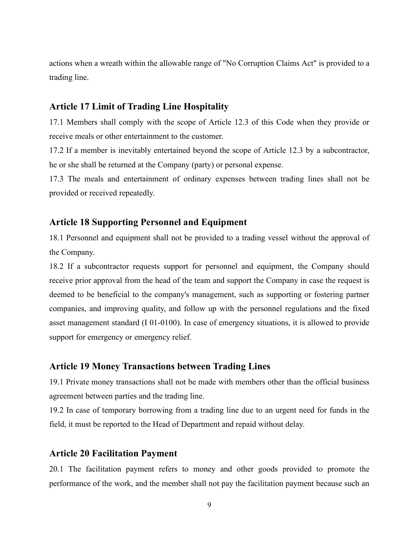actions when a wreath within the allowable range of "No Corruption Claims Act" is provided to a trading line.

#### **Article 17 Limit of Trading Line Hospitality**

17.1 Members shall comply with the scope of Article 12.3 of this Code when they provide or receive meals or other entertainment to the customer.

17.2 If a member is inevitably entertained beyond the scope of Article 12.3 by a subcontractor, he or she shall be returned at the Company (party) or personal expense.

17.3 The meals and entertainment of ordinary expenses between trading lines shall not be provided or received repeatedly.

#### **Article 18 Supporting Personnel and Equipment**

18.1 Personnel and equipment shall not be provided to a trading vessel without the approval of the Company.

18.2 If a subcontractor requests support for personnel and equipment, the Company should receive prior approval from the head of the team and support the Company in case the request is deemed to be beneficial to the company's management, such as supporting or fostering partner companies, and improving quality, and follow up with the personnel regulations and the fixed asset management standard (I 01-0100). In case of emergency situations, it is allowed to provide support for emergency or emergency relief.

#### **Article 19 Money Transactions between Trading Lines**

19.1 Private money transactions shall not be made with members other than the official business agreement between parties and the trading line.

19.2 In case of temporary borrowing from a trading line due to an urgent need for funds in the field, it must be reported to the Head of Department and repaid without delay.

#### **Article 20 Facilitation Payment**

20.1 The facilitation payment refers to money and other goods provided to promote the performance of the work, and the member shall not pay the facilitation payment because such an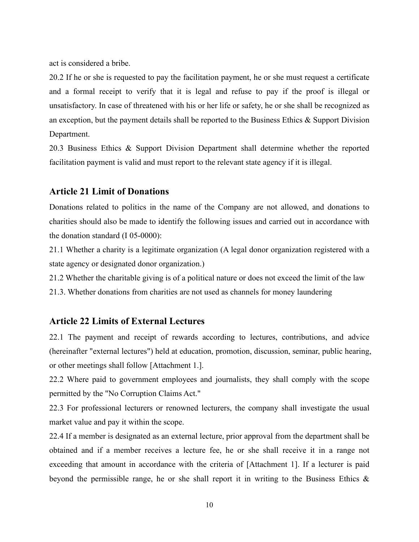act is considered a bribe.

20.2 If he or she is requested to pay the facilitation payment, he or she must request a certificate and a formal receipt to verify that it is legal and refuse to pay if the proof is illegal or unsatisfactory. In case of threatened with his or her life or safety, he or she shall be recognized as an exception, but the payment details shall be reported to the Business Ethics & Support Division Department.

20.3 Business Ethics & Support Division Department shall determine whether the reported facilitation payment is valid and must report to the relevant state agency if it is illegal.

#### **Article 21 Limit of Donations**

Donations related to politics in the name of the Company are not allowed, and donations to charities should also be made to identify the following issues and carried out in accordance with the donation standard (I 05-0000):

21.1 Whether a charity is a legitimate organization (A legal donor organization registered with a state agency or designated donor organization.)

21.2 Whether the charitable giving is of a political nature or does not exceed the limit of the law

21.3. Whether donations from charities are not used as channels for money laundering

### **Article 22 Limits of External Lectures**

22.1 The payment and receipt of rewards according to lectures, contributions, and advice (hereinafter "external lectures") held at education, promotion, discussion, seminar, public hearing, or other meetings shall follow [Attachment 1.].

22.2 Where paid to government employees and journalists, they shall comply with the scope permitted by the "No Corruption Claims Act."

22.3 For professional lecturers or renowned lecturers, the company shall investigate the usual market value and pay it within the scope.

22.4 If a member is designated as an external lecture, prior approval from the department shall be obtained and if a member receives a lecture fee, he or she shall receive it in a range not exceeding that amount in accordance with the criteria of [Attachment 1]. If a lecturer is paid beyond the permissible range, he or she shall report it in writing to the Business Ethics  $\&$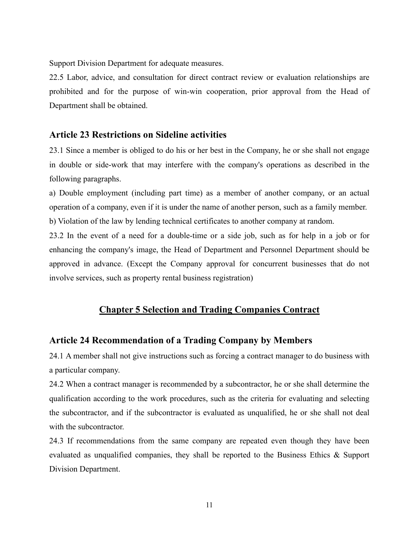Support Division Department for adequate measures.

22.5 Labor, advice, and consultation for direct contract review or evaluation relationships are prohibited and for the purpose of win-win cooperation, prior approval from the Head of Department shall be obtained.

#### **Article 23 Restrictions on Sideline activities**

23.1 Since a member is obliged to do his or her best in the Company, he or she shall not engage in double or side-work that may interfere with the company's operations as described in the following paragraphs.

a) Double employment (including part time) as a member of another company, or an actual operation of a company, even if it is under the name of another person, such as a family member. b) Violation of the law by lending technical certificates to another company at random.

23.2 In the event of a need for a double-time or a side job, such as for help in a job or for enhancing the company's image, the Head of Department and Personnel Department should be approved in advance. (Except the Company approval for concurrent businesses that do not involve services, such as property rental business registration)

## **Chapter 5 Selection and Trading Companies Contract**

#### **Article 24 Recommendation of a Trading Company by Members**

24.1 A member shall not give instructions such as forcing a contract manager to do business with a particular company.

24.2 When a contract manager is recommended by a subcontractor, he or she shall determine the qualification according to the work procedures, such as the criteria for evaluating and selecting the subcontractor, and if the subcontractor is evaluated as unqualified, he or she shall not deal with the subcontractor.

24.3 If recommendations from the same company are repeated even though they have been evaluated as unqualified companies, they shall be reported to the Business Ethics & Support Division Department.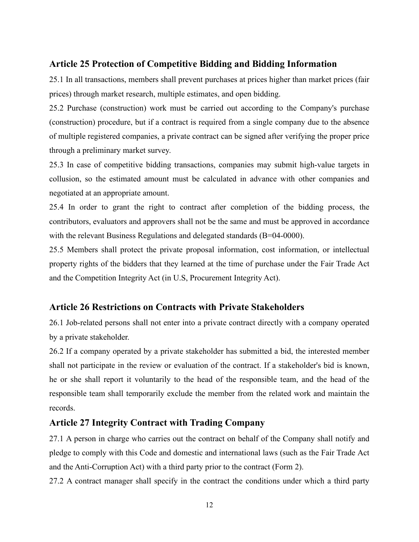#### **Article 25 Protection of Competitive Bidding and Bidding Information**

25.1 In all transactions, members shall prevent purchases at prices higher than market prices (fair prices) through market research, multiple estimates, and open bidding.

25.2 Purchase (construction) work must be carried out according to the Company's purchase (construction) procedure, but if a contract is required from a single company due to the absence of multiple registered companies, a private contract can be signed after verifying the proper price through a preliminary market survey.

25.3 In case of competitive bidding transactions, companies may submit high-value targets in collusion, so the estimated amount must be calculated in advance with other companies and negotiated at an appropriate amount.

25.4 In order to grant the right to contract after completion of the bidding process, the contributors, evaluators and approvers shall not be the same and must be approved in accordance with the relevant Business Regulations and delegated standards (B=04-0000).

25.5 Members shall protect the private proposal information, cost information, or intellectual property rights of the bidders that they learned at the time of purchase under the Fair Trade Act and the Competition Integrity Act (in U.S, Procurement Integrity Act).

#### **Article 26 Restrictions on Contracts with Private Stakeholders**

26.1 Job-related persons shall not enter into a private contract directly with a company operated by a private stakeholder.

26.2 If a company operated by a private stakeholder has submitted a bid, the interested member shall not participate in the review or evaluation of the contract. If a stakeholder's bid is known, he or she shall report it voluntarily to the head of the responsible team, and the head of the responsible team shall temporarily exclude the member from the related work and maintain the records.

#### **Article 27 Integrity Contract with Trading Company**

27.1 A person in charge who carries out the contract on behalf of the Company shall notify and pledge to comply with this Code and domestic and international laws (such as the Fair Trade Act and the Anti-Corruption Act) with a third party prior to the contract (Form 2).

27.2 A contract manager shall specify in the contract the conditions under which a third party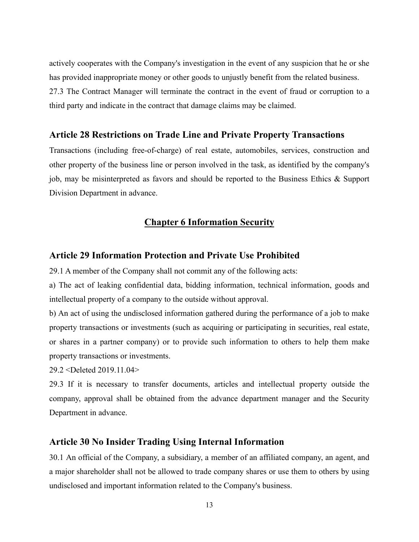actively cooperates with the Company's investigation in the event of any suspicion that he or she has provided inappropriate money or other goods to unjustly benefit from the related business. 27.3 The Contract Manager will terminate the contract in the event of fraud or corruption to a third party and indicate in the contract that damage claims may be claimed.

#### **Article 28 Restrictions on Trade Line and Private Property Transactions**

Transactions (including free-of-charge) of real estate, automobiles, services, construction and other property of the business line or person involved in the task, as identified by the company's job, may be misinterpreted as favors and should be reported to the Business Ethics & Support Division Department in advance.

#### **Chapter 6 Information Security**

#### **Article 29 Information Protection and Private Use Prohibited**

29.1 A member of the Company shall not commit any of the following acts:

a) The act of leaking confidential data, bidding information, technical information, goods and intellectual property of a company to the outside without approval.

b) An act of using the undisclosed information gathered during the performance of a job to make property transactions or investments (such as acquiring or participating in securities, real estate, or shares in a partner company) or to provide such information to others to help them make property transactions or investments.

29.2 <Deleted 2019.11.04>

29.3 If it is necessary to transfer documents, articles and intellectual property outside the company, approval shall be obtained from the advance department manager and the Security Department in advance.

#### **Article 30 No Insider Trading Using Internal Information**

30.1 An official of the Company, a subsidiary, a member of an affiliated company, an agent, and a major shareholder shall not be allowed to trade company shares or use them to others by using undisclosed and important information related to the Company's business.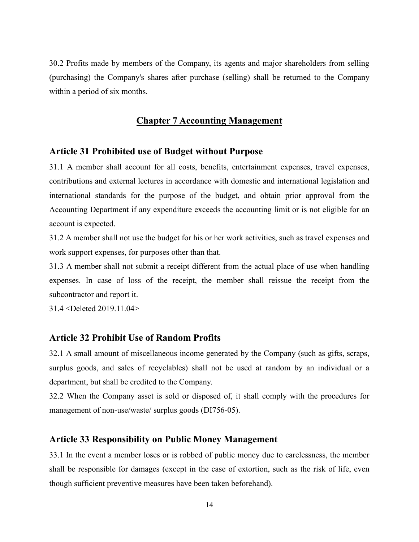30.2 Profits made by members of the Company, its agents and major shareholders from selling (purchasing) the Company's shares after purchase (selling) shall be returned to the Company within a period of six months.

#### **Chapter 7 Accounting Management**

#### **Article 31 Prohibited use of Budget without Purpose**

31.1 A member shall account for all costs, benefits, entertainment expenses, travel expenses, contributions and external lectures in accordance with domestic and international legislation and international standards for the purpose of the budget, and obtain prior approval from the Accounting Department if any expenditure exceeds the accounting limit or is not eligible for an account is expected.

31.2 A member shall not use the budget for his or her work activities, such as travel expenses and work support expenses, for purposes other than that.

31.3 A member shall not submit a receipt different from the actual place of use when handling expenses. In case of loss of the receipt, the member shall reissue the receipt from the subcontractor and report it.

31.4 <Deleted 2019.11.04>

#### **Article 32 Prohibit Use of Random Profits**

32.1 A small amount of miscellaneous income generated by the Company (such as gifts, scraps, surplus goods, and sales of recyclables) shall not be used at random by an individual or a department, but shall be credited to the Company.

32.2 When the Company asset is sold or disposed of, it shall comply with the procedures for management of non-use/waste/ surplus goods (DI756-05).

#### **Article 33 Responsibility on Public Money Management**

33.1 In the event a member loses or is robbed of public money due to carelessness, the member shall be responsible for damages (except in the case of extortion, such as the risk of life, even though sufficient preventive measures have been taken beforehand).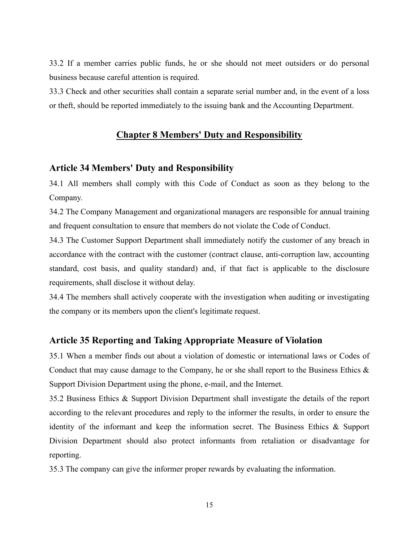33.2 If a member carries public funds, he or she should not meet outsiders or do personal business because careful attention is required.

33.3 Check and other securities shall contain a separate serial number and, in the event of a loss or theft, should be reported immediately to the issuing bank and the Accounting Department.

#### **Chapter 8 Members' Duty and Responsibility**

#### **Article 34 Members' Duty and Responsibility**

34.1 All members shall comply with this Code of Conduct as soon as they belong to the Company.

34.2 The Company Management and organizational managers are responsible for annual training and frequent consultation to ensure that members do not violate the Code of Conduct.

34.3 The Customer Support Department shall immediately notify the customer of any breach in accordance with the contract with the customer (contract clause, anti-corruption law, accounting standard, cost basis, and quality standard) and, if that fact is applicable to the disclosure requirements, shall disclose it without delay.

34.4 The members shall actively cooperate with the investigation when auditing or investigating the company or its members upon the client's legitimate request.

#### **Article 35 Reporting and Taking Appropriate Measure of Violation**

35.1 When a member finds out about a violation of domestic or international laws or Codes of Conduct that may cause damage to the Company, he or she shall report to the Business Ethics  $\&$ Support Division Department using the phone, e-mail, and the Internet.

35.2 Business Ethics & Support Division Department shall investigate the details of the report according to the relevant procedures and reply to the informer the results, in order to ensure the identity of the informant and keep the information secret. The Business Ethics & Support Division Department should also protect informants from retaliation or disadvantage for reporting.

35.3 The company can give the informer proper rewards by evaluating the information.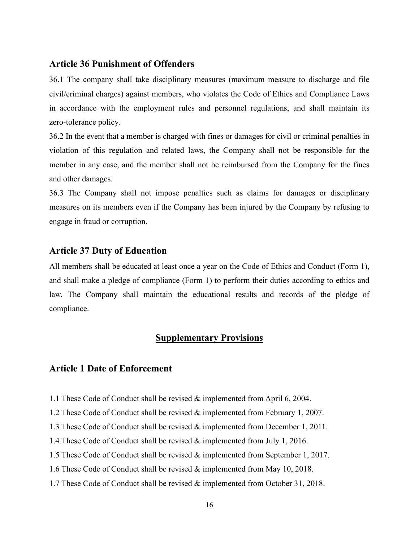#### **Article 36 Punishment of Offenders**

36.1 The company shall take disciplinary measures (maximum measure to discharge and file civil/criminal charges) against members, who violates the Code of Ethics and Compliance Laws in accordance with the employment rules and personnel regulations, and shall maintain its zero-tolerance policy.

36.2 In the event that a member is charged with fines or damages for civil or criminal penalties in violation of this regulation and related laws, the Company shall not be responsible for the member in any case, and the member shall not be reimbursed from the Company for the fines and other damages.

36.3 The Company shall not impose penalties such as claims for damages or disciplinary measures on its members even if the Company has been injured by the Company by refusing to engage in fraud or corruption.

#### **Article 37 Duty of Education**

All members shall be educated at least once a year on the Code of Ethics and Conduct (Form 1), and shall make a pledge of compliance (Form 1) to perform their duties according to ethics and law. The Company shall maintain the educational results and records of the pledge of compliance.

## **Supplementary Provisions**

### **Article 1 Date of Enforcement**

- 1.1 These Code of Conduct shall be revised & implemented from April 6, 2004.
- 1.2 These Code of Conduct shall be revised & implemented from February 1, 2007.
- 1.3 These Code of Conduct shall be revised & implemented from December 1, 2011.
- 1.4 These Code of Conduct shall be revised & implemented from July 1, 2016.
- 1.5 These Code of Conduct shall be revised & implemented from September 1, 2017.
- 1.6 These Code of Conduct shall be revised & implemented from May 10, 2018.
- 1.7 These Code of Conduct shall be revised & implemented from October 31, 2018.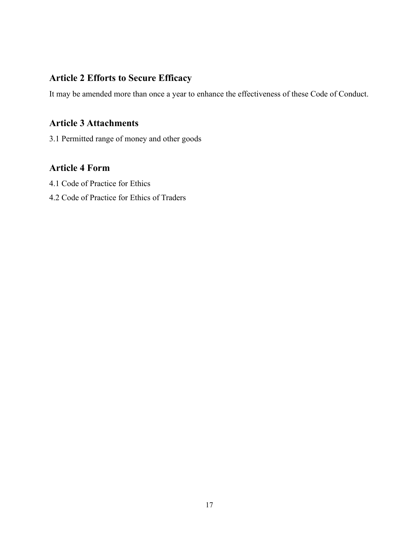## **Article 2 Efforts to Secure Efficacy**

It may be amended more than once a year to enhance the effectiveness of these Code of Conduct.

## **Article 3 Attachments**

3.1 Permitted range of money and other goods

## **Article 4 Form**

- 4.1 Code of Practice for Ethics
- 4.2 Code of Practice for Ethics of Traders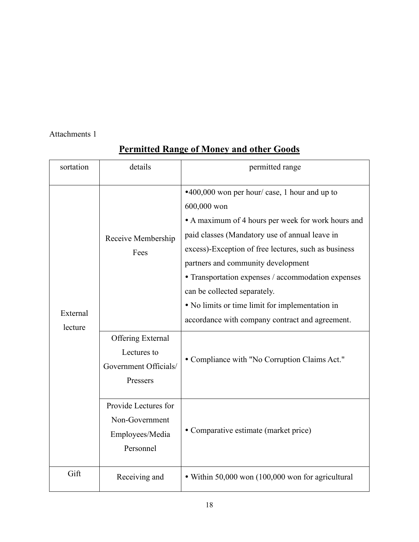Attachments 1

| sortation           | details                                                                      | permitted range                                                                                                                                                                                                                                                                                                                                                                                                                                                |
|---------------------|------------------------------------------------------------------------------|----------------------------------------------------------------------------------------------------------------------------------------------------------------------------------------------------------------------------------------------------------------------------------------------------------------------------------------------------------------------------------------------------------------------------------------------------------------|
| External<br>lecture | Receive Membership<br>Fees                                                   | •400,000 won per hour/ case, 1 hour and up to<br>600,000 won<br>• A maximum of 4 hours per week for work hours and<br>paid classes (Mandatory use of annual leave in<br>excess)-Exception of free lectures, such as business<br>partners and community development<br>• Transportation expenses / accommodation expenses<br>can be collected separately.<br>• No limits or time limit for implementation in<br>accordance with company contract and agreement. |
|                     | <b>Offering External</b><br>Lectures to<br>Government Officials/<br>Pressers | • Compliance with "No Corruption Claims Act."                                                                                                                                                                                                                                                                                                                                                                                                                  |
|                     | Provide Lectures for<br>Non-Government<br>Employees/Media<br>Personnel       | • Comparative estimate (market price)                                                                                                                                                                                                                                                                                                                                                                                                                          |
| Gift                | Receiving and                                                                | • Within 50,000 won (100,000 won for agricultural                                                                                                                                                                                                                                                                                                                                                                                                              |

## **Permitted Range of Money and other Goods**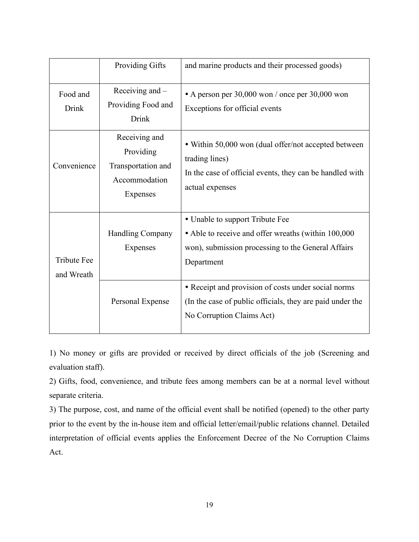|                                  | Providing Gifts                                                               | and marine products and their processed goods)                                                                                                                                                                    |  |
|----------------------------------|-------------------------------------------------------------------------------|-------------------------------------------------------------------------------------------------------------------------------------------------------------------------------------------------------------------|--|
| Food and<br>Drink                | Receiving and $-$<br>Providing Food and<br><b>Drink</b>                       | • A person per 30,000 won / once per 30,000 won<br>Exceptions for official events                                                                                                                                 |  |
| Convenience                      | Receiving and<br>Providing<br>Transportation and<br>Accommodation<br>Expenses | • Within 50,000 won (dual offer/not accepted between<br>trading lines)<br>In the case of official events, they can be handled with<br>actual expenses                                                             |  |
| <b>Tribute Fee</b><br>and Wreath | <b>Handling Company</b><br>Expenses                                           | • Unable to support Tribute Fee<br>• Able to receive and offer wreaths (within 100,000<br>won), submission processing to the General Affairs<br>Department<br>• Receipt and provision of costs under social norms |  |
|                                  | Personal Expense                                                              | (In the case of public officials, they are paid under the<br>No Corruption Claims Act)                                                                                                                            |  |

1) No money or gifts are provided or received by direct officials of the job (Screening and evaluation staff).

2) Gifts, food, convenience, and tribute fees among members can be at a normal level without separate criteria.

3) The purpose, cost, and name of the official event shall be notified (opened) to the other party prior to the event by the in-house item and official letter/email/public relations channel. Detailed interpretation of official events applies the Enforcement Decree of the No Corruption Claims Act.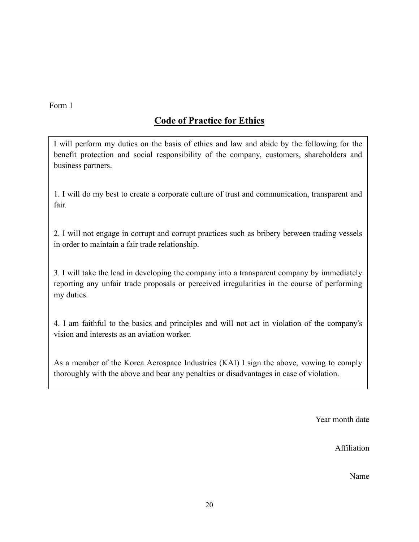Form 1

## **Code of Practice for Ethics**

I will perform my duties on the basis of ethics and law and abide by the following for the benefit protection and social responsibility of the company, customers, shareholders and business partners.

1. I will do my best to create a corporate culture of trust and communication, transparent and fair.

2. I will not engage in corrupt and corrupt practices such as bribery between trading vessels in order to maintain a fair trade relationship.

3. I will take the lead in developing the company into a transparent company by immediately reporting any unfair trade proposals or perceived irregularities in the course of performing my duties.

4. I am faithful to the basics and principles and will not act in violation of the company's vision and interests as an aviation worker.

As a member of the Korea Aerospace Industries (KAI) I sign the above, vowing to comply thoroughly with the above and bear any penalties or disadvantages in case of violation.

Year month date

Affiliation

Name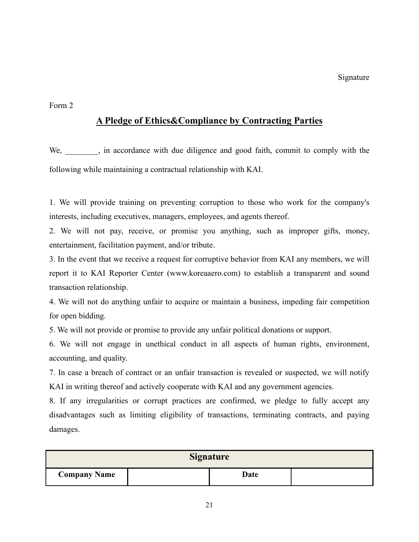Form 2

## **A Pledge of Ethics&Compliance by Contracting Parties**

We, in accordance with due diligence and good faith, commit to comply with the following while maintaining a contractual relationship with KAI.

1. We will provide training on preventing corruption to those who work for the company's interests, including executives, managers, employees, and agents thereof.

2. We will not pay, receive, or promise you anything, such as improper gifts, money, entertainment, facilitation payment, and/or tribute.

3. In the event that we receive a request for corruptive behavior from KAI any members, we will report it to KAI Reporter Center (www.koreaaero.com) to establish a transparent and sound transaction relationship.

4. We will not do anything unfair to acquire or maintain a business, impeding fair competition for open bidding.

5. We will not provide or promise to provide any unfair political donations or support.

6. We will not engage in unethical conduct in all aspects of human rights, environment, accounting, and quality.

7. In case a breach of contract or an unfair transaction is revealed or suspected, we will notify KAI in writing thereof and actively cooperate with KAI and any government agencies.

8. If any irregularities or corrupt practices are confirmed, we pledge to fully accept any disadvantages such as limiting eligibility of transactions, terminating contracts, and paying damages.

| <b>Signature</b>    |  |      |  |  |  |  |  |
|---------------------|--|------|--|--|--|--|--|
| <b>Company Name</b> |  | Date |  |  |  |  |  |